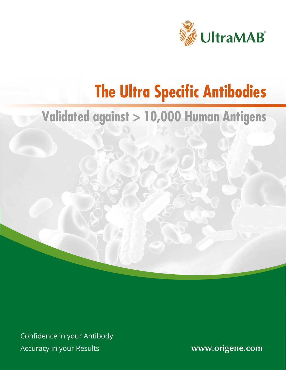

# **The Ultra Specific Antibodies**

## **Validated against > 10,000 Human Antigens**

Confidence in your Antibody Accuracy in your Results

www.origene.com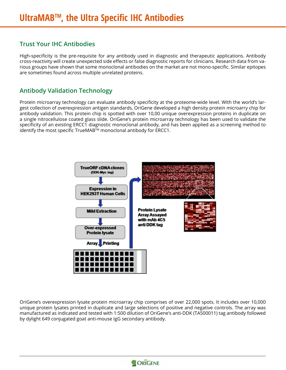#### **Trust Your IHC Antibodies**

High-specificity is the pre-requisite for any antibody used in diagnostic and therapeutic applications. Antibody cross-reactivity will create unexpected side effects or false diagnostic reports for clinicians. Research data from various groups have shown that some monoclonal antibodies on the market are not mono-specific. Similar epitopes are sometimes found across multiple unrelated proteins.

#### **Antibody Validation Technology**

Protein microarray technology can evaluate antibody specificity at the proteome-wide level. With the world's largest collection of overexpression antigen standards, OriGene developed a high density protein microarry chip for antibody validation. This protein chip is spotted with over 10,00 unique overexpression proteins in duplicate on a single nitrocellulose coated glass slide. OriGene's protein microarray technology has been used to validate the specificity of an existing ERCC1 diagnostic monoclonal antibody, and has been applied as a screening method to identify the most specific TrueMAB™ monoclonal antibody for ERCC1.



OriGene's overexpression lysate protein microarray chip comprises of over 22,000 spots. It includes over 10,000 unique protein lysates printed in duplicate and large selections of positive and negative controls. The array was manufactured as indicated and tested with 1:500 dilution of OriGene's anti-DDK (TA500011) tag antibody followed by dylight 649 conjugated goat anti-mouse IgG secondary antibody.

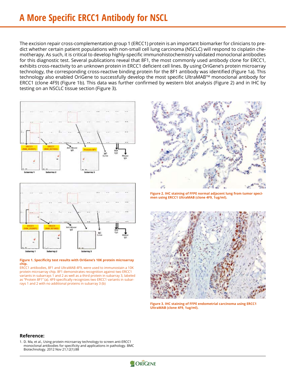The excision repair cross-complementation group 1 (ERCC1) protein is an important biomarker for clinicians to predict whether certain patient populations with non-small cell lung carcinoma (NSCLC) will respond to cisplatin chemotherapy. As such, it is critical to develop highly-specific immunohistochemistry validated monoclonal antibodies for this diagnostic test. Several publications reveal that 8F1, the most commonly used antibody clone for ERCC1, exhibits cross-reactivity to an unknown protein in ERCC1 deficient cell lines. By using OriGene's protein microarray technology, the corresponding cross-reactive binding protein for the 8F1 antibody was identified (Figure 1a). This technology also enabled OriGene to successfully develop the most specific UltraMAB™ monoclonal antibody for ERCC1 (clone 4F9) (Figure 1b). This data was further confirmed by western blot analysis (Figure 2) and in IHC by testing on an NSCLC tissue section (Figure 3).





#### **Figure 1. Specificity test results with OriGene's 10K protein microarray chip.**

ERCC1 antibodies, 8F1 and UltraMAB 4F9, were used to immunostain a 10K protein microarray chip. 8F1 demonstrates recognition against two ERCC1 variants in subarrays 1 and 2 as well as a third protein in subarray 3, labeled as "Protein 8F1" (a). 4F9 specifically recognizes two ERCC1 variants in subarrays 1 and 2 with no additional proteins in subarray 3 (b)



**Figure 2. IHC staining of FFPE normal adjacent lung from tumor specimen using ERCC1 UltraMAB (clone 4F9, 1ug/ml).**



**Figure 3. IHC staining of FFPE endometrial carcinoma using ERCC1 UltraMAB (clone 4F9, 1ug/ml).**

#### **Reference:**

1. D. Ma, et al., Using protein microarray technology to screen anti-ERCC1 monoclonal antibodies for specificity and applications in pathology. BMC Biotechnology. 2012 Nov 21;12(1):88

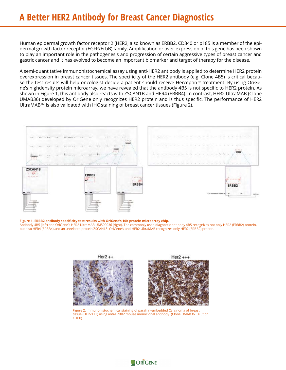Human epidermal growth factor receptor 2 (HER2, also known as ERBB2, CD340 or p185 is a member of the epidermal growth factor receptor (EGFR/ErbB) family. Amplification or over-expression of this gene has been shown to play an important role in the pathogenesis and progression of certain aggressive types of breast cancer and gastric cancer and it has evolved to become an important biomarker and target of therapy for the disease.

A semi-quantitative immunohistochemical assay using anti-HER2 antibody is applied to determine HER2 protein overexpression in breast cancer tissues. The specificity of the HER2 antibody (e.g. Clone 4B5) is critical because the test results will help oncologist decide a patient should receive Herceptin™ treatment. By using OriGene's highdensity protein microarray, we have revealed that the antibody 4B5 is not specific to HER2 protein. As shown in Figure 1, this antibody also reacts with ZSCAN1B and HER4 (ERBB4). In contrast, HER2 UltraMAB (Clone UMAB36) developed by OriGene only recognizes HER2 protein and is thus specific. The performance of HER2 UltraMABTM is also validated with IHC staining of breast cancer tissues (Figure 2).



**Figure 1. ERBB2 antibody specificity test results with OriGene's 10K protein microarray chip.** Antibody 4B5 (left) and OriGene's HER2 UltraMAB UM500036 (right). The commonly used diagnostic antibody 4B5 recognizes not only HER2 (ERBB2) protein, but also HER4 (ERBB4) and an unrelated protein ZSCAN18. OriGene's anti-HER2 UltraMAB recognizes only HER2 (ERBB2) protein.



Figure 2. Immunohistochemical staining of paraffin-embedded Carcinoma of breast tissue (HER2+++) using anti-ERBB2 mouse monoclonal antibody. (Clone UMAB36, Dilution 1:100)

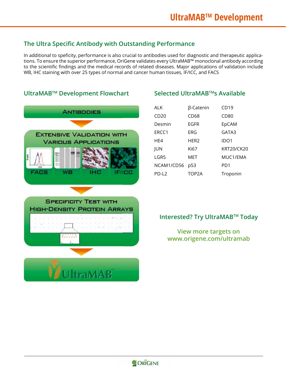#### **The Ultra Specific Antibody with Outstanding Performance**

In additional to speficity, performance is also crucial to antibodies used for diagnostic and therapeutic applications. To ensure the superior performance, OriGene validates every UltraMAB™ monoclonal antibody according to the scientific findings and the medical records of related diseases. Major applications of validation include WB, IHC staining with over 25 types of normal and cancer human tissues, IF/ICC, and FACS

#### **UltraMABTM Development Flowchart Selected UltraMABTMs Available**



| AI K             | β-Catenin        | CD19       |
|------------------|------------------|------------|
| CD <sub>20</sub> | CD68             | CD80       |
| Desmin           | EGFR             | EpCAM      |
| ERCC1            | FRG              | GATA3      |
| HF4              | HFR <sub>2</sub> | IDO1       |
| <b>JUN</b>       | Ki67             | KRT20/CK20 |
| LGR5             | MFT              | MUC1/FMA   |
| NCAM1/CD56       | p53              | PD1        |
| $PD-12$          | TOP2A            | Troponin   |

#### **Interested? Try UltraMABTM Today**

**View more targets on www.origene.com/ultramab**